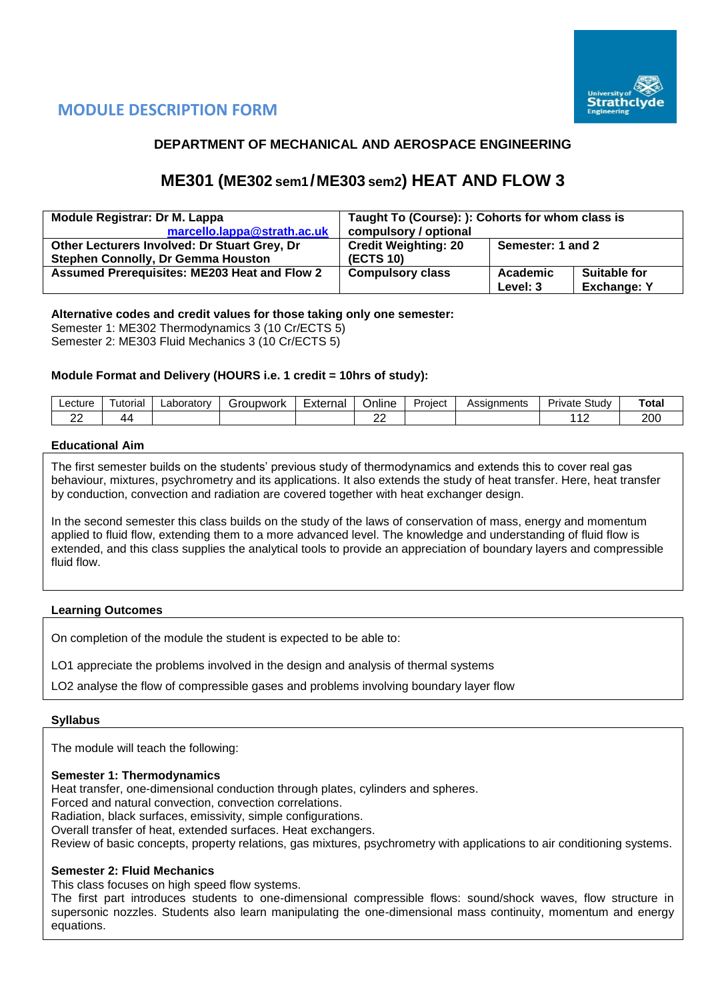

## **MODULE DESCRIPTION FORM**

## **DEPARTMENT OF MECHANICAL AND AEROSPACE ENGINEERING**

## **ME301 (ME302 sem1/ME303 sem2) HEAT AND FLOW 3**

| <b>Module Registrar: Dr M. Lappa</b>                | Taught To (Course): ): Cohorts for whom class is |          |                    |  |  |  |
|-----------------------------------------------------|--------------------------------------------------|----------|--------------------|--|--|--|
| marcello.lappa@strath.ac.uk                         | compulsory / optional                            |          |                    |  |  |  |
| Other Lecturers Involved: Dr Stuart Grey, Dr        | <b>Credit Weighting: 20</b><br>Semester: 1 and 2 |          |                    |  |  |  |
| <b>Stephen Connolly, Dr Gemma Houston</b>           | <b>(ECTS 10)</b>                                 |          |                    |  |  |  |
| <b>Assumed Prerequisites: ME203 Heat and Flow 2</b> | <b>Compulsory class</b>                          | Academic | Suitable for       |  |  |  |
|                                                     |                                                  | Level: 3 | <b>Exchange: Y</b> |  |  |  |

### **Alternative codes and credit values for those taking only one semester:**

Semester 1: ME302 Thermodynamics 3 (10 Cr/ECTS 5) Semester 2: ME303 Fluid Mechanics 3 (10 Cr/ECTS 5)

#### **Module Format and Delivery (HOURS i.e. 1 credit = 10hrs of study):**

| ∟ecture             | utorial | Laborator | iroupwork | -<br>Externai | Jnline | Project | <b>\ssignments</b><br>, , , ວວມ | -<br>Study<br>⊶ت<br>nvate | Total |
|---------------------|---------|-----------|-----------|---------------|--------|---------|---------------------------------|---------------------------|-------|
| $\sim$<br><u>__</u> | 44      |           |           |               | --     |         |                                 | $\cdot$                   | 200   |

#### **Educational Aim**

The first semester builds on the students' previous study of thermodynamics and extends this to cover real gas behaviour, mixtures, psychrometry and its applications. It also extends the study of heat transfer. Here, heat transfer by conduction, convection and radiation are covered together with heat exchanger design.

In the second semester this class builds on the study of the laws of conservation of mass, energy and momentum applied to fluid flow, extending them to a more advanced level. The knowledge and understanding of fluid flow is extended, and this class supplies the analytical tools to provide an appreciation of boundary layers and compressible fluid flow.

#### **Learning Outcomes**

On completion of the module the student is expected to be able to:

LO1 appreciate the problems involved in the design and analysis of thermal systems

LO2 analyse the flow of compressible gases and problems involving boundary layer flow

#### **Syllabus**

The module will teach the following:

#### **Semester 1: Thermodynamics**

Heat transfer, one-dimensional conduction through plates, cylinders and spheres.

Forced and natural convection, convection correlations.

Radiation, black surfaces, emissivity, simple configurations.

Overall transfer of heat, extended surfaces. Heat exchangers.

Review of basic concepts, property relations, gas mixtures, psychrometry with applications to air conditioning systems.

#### **Semester 2: Fluid Mechanics**

This class focuses on high speed flow systems.

The first part introduces students to one-dimensional compressible flows: sound/shock waves, flow structure in supersonic nozzles. Students also learn manipulating the one-dimensional mass continuity, momentum and energy equations.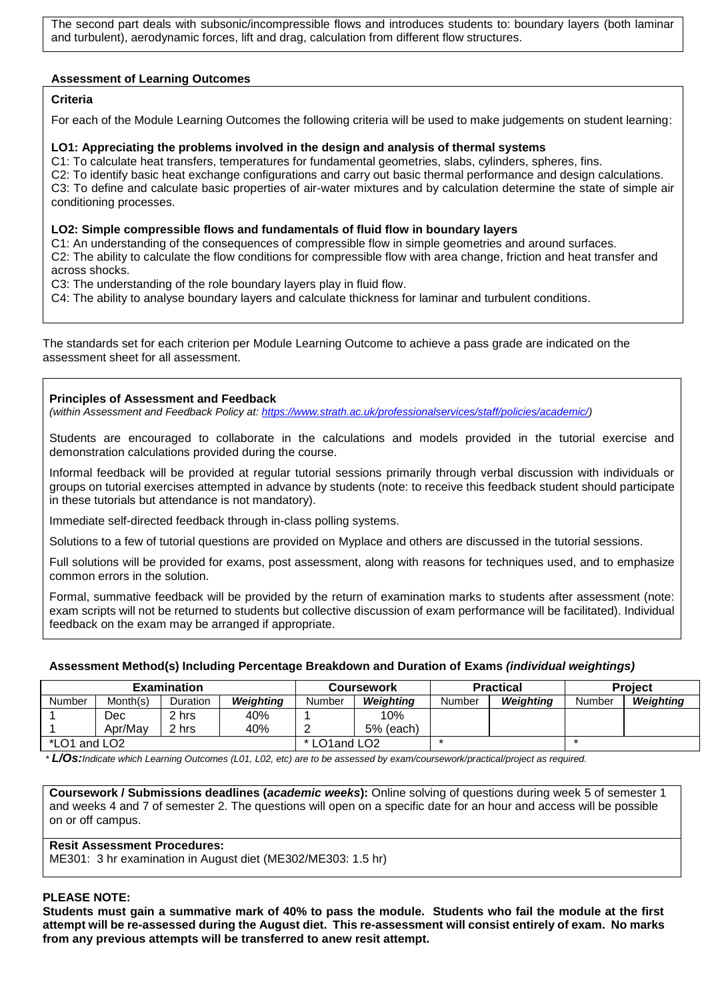The second part deals with subsonic/incompressible flows and introduces students to: boundary layers (both laminar and turbulent), aerodynamic forces, lift and drag, calculation from different flow structures.

#### **Assessment of Learning Outcomes**

### **Criteria**

For each of the Module Learning Outcomes the following criteria will be used to make judgements on student learning:

#### **LO1: Appreciating the problems involved in the design and analysis of thermal systems**

C1: To calculate heat transfers, temperatures for fundamental geometries, slabs, cylinders, spheres, fins. C2: To identify basic heat exchange configurations and carry out basic thermal performance and design calculations. C3: To define and calculate basic properties of air-water mixtures and by calculation determine the state of simple air conditioning processes.

#### **LO2: Simple compressible flows and fundamentals of fluid flow in boundary layers**

C1: An understanding of the consequences of compressible flow in simple geometries and around surfaces. C2: The ability to calculate the flow conditions for compressible flow with area change, friction and heat transfer and across shocks.

C3: The understanding of the role boundary layers play in fluid flow.

C4: The ability to analyse boundary layers and calculate thickness for laminar and turbulent conditions.

The standards set for each criterion per Module Learning Outcome to achieve a pass grade are indicated on the assessment sheet for all assessment.

#### **Principles of Assessment and Feedback**

*(within Assessment and Feedback Policy at: [https://www.strath.ac.uk/professionalservices/staff/policies/academic/\)](https://www.strath.ac.uk/professionalservices/staff/policies/academic/)*

Students are encouraged to collaborate in the calculations and models provided in the tutorial exercise and demonstration calculations provided during the course.

Informal feedback will be provided at regular tutorial sessions primarily through verbal discussion with individuals or groups on tutorial exercises attempted in advance by students (note: to receive this feedback student should participate in these tutorials but attendance is not mandatory).

Immediate self-directed feedback through in-class polling systems.

Solutions to a few of tutorial questions are provided on Myplace and others are discussed in the tutorial sessions.

Full solutions will be provided for exams, post assessment, along with reasons for techniques used, and to emphasize common errors in the solution.

Formal, summative feedback will be provided by the return of examination marks to students after assessment (note: exam scripts will not be returned to students but collective discussion of exam performance will be facilitated). Individual feedback on the exam may be arranged if appropriate.

#### **Assessment Method(s) Including Percentage Breakdown and Duration of Exams** *(individual weightings)*

|              |          | <b>Examination</b> |                  |               | Coursework       |        | <b>Practical</b> | <b>Project</b> |                  |  |
|--------------|----------|--------------------|------------------|---------------|------------------|--------|------------------|----------------|------------------|--|
| Number       | Month(s) | <b>Duration</b>    | <b>Weighting</b> | Number        | <b>Weighting</b> | Number | Weighting        | Number         | <b>Weighting</b> |  |
|              | Dec.     | 2 hrs              | 40%              |               | 10%              |        |                  |                |                  |  |
|              | Apr/May  | hrs                | 40%              |               | $5%$ (each)      |        |                  |                |                  |  |
| *LO1 and LO2 |          |                    |                  | * LO1 and LO2 |                  |        |                  |                |                  |  |

*\* L/Os:Indicate which Learning Outcomes (L01, L02, etc) are to be assessed by exam/coursework/practical/project as required.*

**Coursework / Submissions deadlines (***academic weeks***):** Online solving of questions during week 5 of semester 1 and weeks 4 and 7 of semester 2. The questions will open on a specific date for an hour and access will be possible on or off campus.

#### **Resit Assessment Procedures:**

ME301: 3 hr examination in August diet (ME302/ME303: 1.5 hr)

#### **PLEASE NOTE:**

**Students must gain a summative mark of 40% to pass the module. Students who fail the module at the first attempt will be re-assessed during the August diet. This re-assessment will consist entirely of exam. No marks from any previous attempts will be transferred to anew resit attempt.**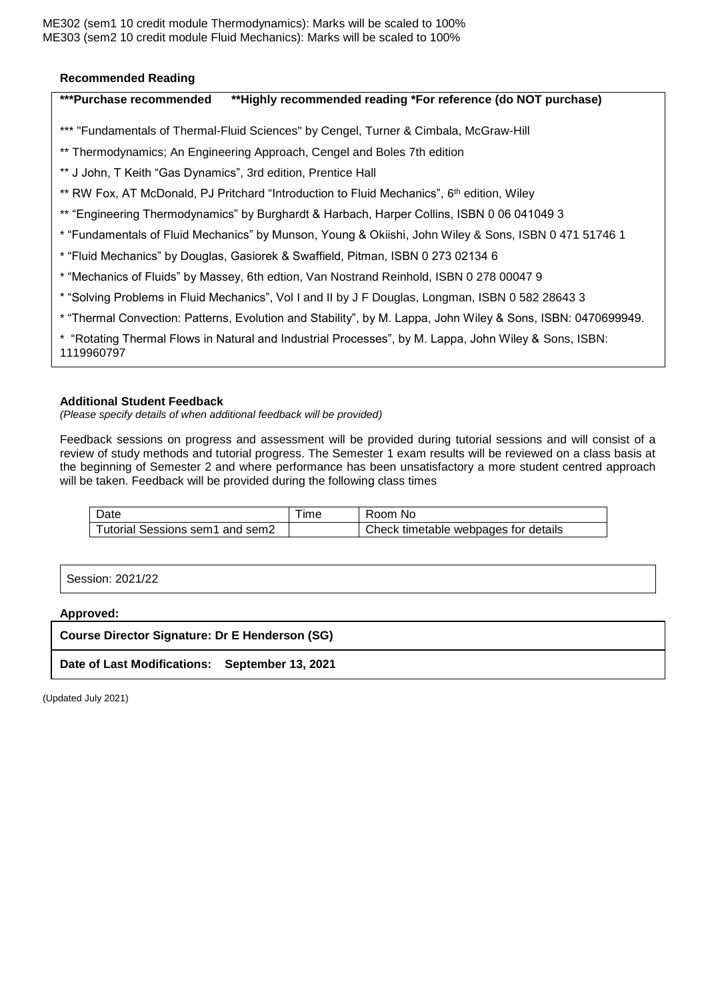ME302 (sem1 10 credit module Thermodynamics): Marks will be scaled to 100% ME303 (sem2 10 credit module Fluid Mechanics): Marks will be scaled to 100%

#### **Recommended Reading**

## **\*\*\*Purchase recommended \*\*Highly recommended reading \*For reference (do NOT purchase)**

- \*\*\* "Fundamentals of Thermal-Fluid Sciences" by Cengel, Turner & Cimbala, McGraw-Hill
- \*\* Thermodynamics; An Engineering Approach, Cengel and Boles 7th edition
- \*\* J John, T Keith "Gas Dynamics", 3rd edition, Prentice Hall
- \*\* RW Fox, AT McDonald, PJ Pritchard "Introduction to Fluid Mechanics", 6<sup>th</sup> edition, Wiley
- \*\* "Engineering Thermodynamics" by Burghardt & Harbach, Harper Collins, ISBN 0 06 041049 3
- \* "Fundamentals of Fluid Mechanics" by Munson, Young & Okiishi, John Wiley & Sons, ISBN 0 471 51746 1
- \* "Fluid Mechanics" by Douglas, Gasiorek & Swaffield, Pitman, ISBN 0 273 02134 6
- \* "Mechanics of Fluids" by Massey, 6th edtion, Van Nostrand Reinhold, ISBN 0 278 00047 9
- \* "Solving Problems in Fluid Mechanics", Vol I and II by J F Douglas, Longman, ISBN 0 582 28643 3
- \* "Thermal Convection: Patterns, Evolution and Stability", by M. Lappa, John Wiley & Sons, ISBN: 0470699949.
- \* "Rotating Thermal Flows in Natural and Industrial Processes", by M. Lappa, John Wiley & Sons, ISBN:

1119960797

#### **Additional Student Feedback**

*(Please specify details of when additional feedback will be provided)*

Feedback sessions on progress and assessment will be provided during tutorial sessions and will consist of a review of study methods and tutorial progress. The Semester 1 exam results will be reviewed on a class basis at the beginning of Semester 2 and where performance has been unsatisfactory a more student centred approach will be taken. Feedback will be provided during the following class times

| Date                            | ıme | Room No                              |
|---------------------------------|-----|--------------------------------------|
| Tutorial Sessions sem1 and sem2 |     | Check timetable webpages for details |

Session: 2021/22

**Approved:**

**Course Director Signature: Dr E Henderson (SG)**

**Date of Last Modifications: September 13, 2021**

(Updated July 2021)